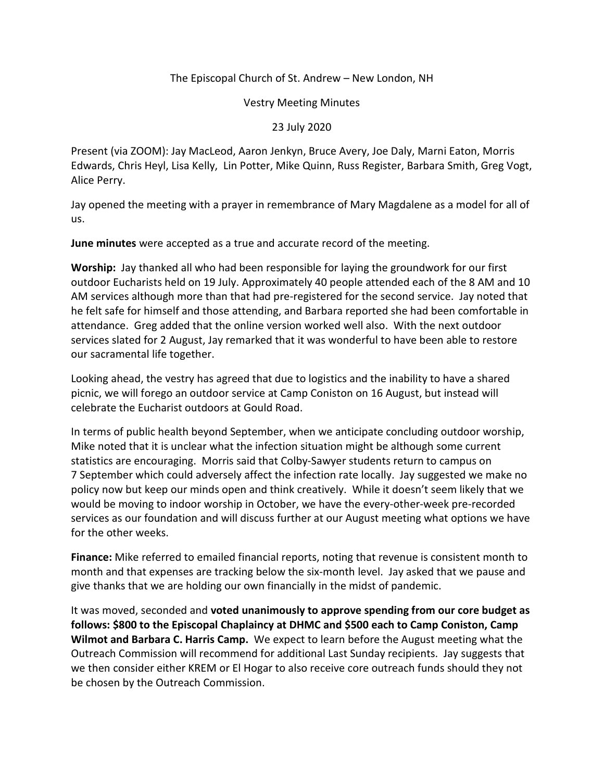## The Episcopal Church of St. Andrew – New London, NH

Vestry Meeting Minutes

23 July 2020

Present (via ZOOM): Jay MacLeod, Aaron Jenkyn, Bruce Avery, Joe Daly, Marni Eaton, Morris Edwards, Chris Heyl, Lisa Kelly, Lin Potter, Mike Quinn, Russ Register, Barbara Smith, Greg Vogt, Alice Perry.

Jay opened the meeting with a prayer in remembrance of Mary Magdalene as a model for all of us.

**June minutes** were accepted as a true and accurate record of the meeting.

**Worship:** Jay thanked all who had been responsible for laying the groundwork for our first outdoor Eucharists held on 19 July. Approximately 40 people attended each of the 8 AM and 10 AM services although more than that had pre-registered for the second service. Jay noted that he felt safe for himself and those attending, and Barbara reported she had been comfortable in attendance. Greg added that the online version worked well also. With the next outdoor services slated for 2 August, Jay remarked that it was wonderful to have been able to restore our sacramental life together.

Looking ahead, the vestry has agreed that due to logistics and the inability to have a shared picnic, we will forego an outdoor service at Camp Coniston on 16 August, but instead will celebrate the Eucharist outdoors at Gould Road.

In terms of public health beyond September, when we anticipate concluding outdoor worship, Mike noted that it is unclear what the infection situation might be although some current statistics are encouraging. Morris said that Colby-Sawyer students return to campus on 7 September which could adversely affect the infection rate locally. Jay suggested we make no policy now but keep our minds open and think creatively. While it doesn't seem likely that we would be moving to indoor worship in October, we have the every-other-week pre-recorded services as our foundation and will discuss further at our August meeting what options we have for the other weeks.

**Finance:** Mike referred to emailed financial reports, noting that revenue is consistent month to month and that expenses are tracking below the six-month level. Jay asked that we pause and give thanks that we are holding our own financially in the midst of pandemic.

It was moved, seconded and **voted unanimously to approve spending from our core budget as follows: \$800 to the Episcopal Chaplaincy at DHMC and \$500 each to Camp Coniston, Camp Wilmot and Barbara C. Harris Camp.** We expect to learn before the August meeting what the Outreach Commission will recommend for additional Last Sunday recipients. Jay suggests that we then consider either KREM or El Hogar to also receive core outreach funds should they not be chosen by the Outreach Commission.